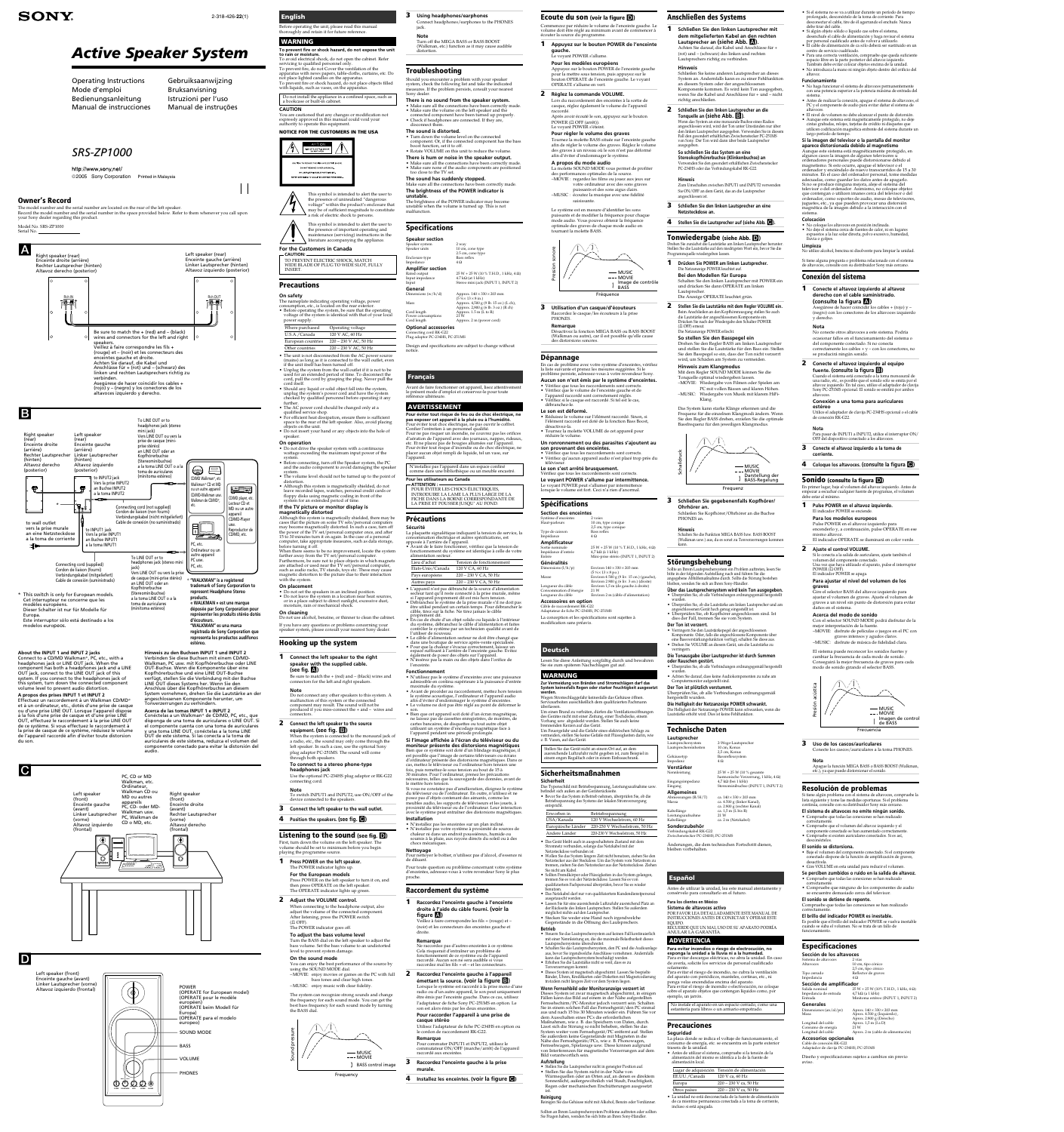http://www.sony.net/ 2005 Sony Corporation Printed in Malaysia

Operating Instructions Mode d'emploi Bedienungsanleitung Manual de instrucciones

# *Active Speaker System*

*SRS-ZP1000*

**SONY** 

2-318-426-**22**(1)

## Gebruiksaanwijzing Bruksanvisning Istruzioni per l'uso Manual de instruções

## **Owner's Record**

#### **Listening to the sound (see fig.**  $\blacksquare$ **)** First, turn down the volume on the left speaker. The

The model number and the serial number are located on the rear of the left speaker. Record the model number and the serial number in the space provided below. Refer to them whenever you call upon your Sony dealer regarding this product.

Model No. SRS-ZP1000

Serial No.  $\_\_$ 

 $(II$  OFF). The POWER indicator goes off. **To adjust the bass volume level**

volume should be set to minimum before you begin playing the programme source.

**1 Press POWER on the left speaker.** The POWER indicator lights up.

> **For the European models** Press POWER on the left speaker to turn it on, and then press OPERATE on the left speaker.

The OPERATE indicator lights up green

**2 Adjust the VOLUME control.** When connecting to the headphone output, also adjust the volume of the connected compo After listening, press the POWER switch

> Lorsque le système est raccordé à la prise mono d'une radio ou d'un autre appareil, le son peut uniquement être émis par l'enceinte gauche. Dans ce cas, utilisez l'adaptateur de fiche Sony PC-251MS en option. Le son est alors émis par les deux enceintes

Turn the BASS dial on the left speaker to adjust the bass volume. Set the bass volume to an undistorted

level to prevent system damage. **On the sound mode**

> Pour commuter INPUT1 et INPUT2, utilisez le commutateur ON/OFF (marche/arrêt) de l'appareil raccordé aux enceintes.

You can enjoy the best performance of the source by using the SOUND MODE dial. –MOVIE: enjoy movies or games on the PC with full bass tones and clear high tones.

–MUSIC: enjoy music with clear fidelity.

The system can recognize strong sounds and change the frequency for each sound mode. You can get the best bass frequency for each sound mode by turning the BASS dial.

## **Raccordement du système**

**1 Raccordez l'enceinte gauche à l'enceinte droite à l'aide du câble fourni. (voir la figure** A**)** Veillez à faire correspondre les fils + (rouge) et –

**Sicherheit** Das Typenschild mit Betriebsspannung, Leistungsaufnahme usw. befindet sich außen an der Geräterückseite. • Bevor Sie das System in Betrieb nehmen, überprüfen Sie, ob die Betriebsspannung des Systems der lokalen Stromversorgung entspricht

(noir) et les connecteurs des enceintes gauche et droite.

#### **Remarque**

Ne raccordez pas d'autres enceintes à ce système. Cela risquerait d'entraîner un problème de fonctionnement de ce système ou de l'appareil raccordé. Aucun son ne sera audible si vous raccordez mal les fils + et – et les connecteurs.

**2 Raccordez l'enceinte gauche à l'appareil émettant la source. (voir la figure** B**)**

**Pour raccorder l'appareil à une prise de casque stéréo**

Utilisez l'adaptateur de fiche PC-234HS en option ou le cordon de raccordement RK-G22. **Remarque**

**3 Raccordez l'enceinte gauche à la prise murale.**

**4 Installez les enceintes. (voir la figure**)

# **Deutsch**

Lesen Sie diese Anleitung sorgfältig durch und bewahren Sie sie zum späteren Nachschlagen gut auf. **WARNUNG**

**Zur Vermeidung von Bränden und Stromschlägen darf das System keinesfalls Regen oder starker Feuchtigkeit ausgesetzt werden.** Wegen Stromschlaggefahr keinesfalls das Gehäuse öffnen.

Servicearbeiten ausschließlich dem qualifizierten Fachmann überlassen. Um einen Brand zu verhüten, dürfen die Ventilationsöffnungen des Gerätes nicht mit einer Zeitung, einer Tischdecke, einem Vorhang usw. abgedeckt werden. Stellen Sie auch keine brennenden Kerzen auf das Gerät. Um Feuergefahr und die Gefahr eines elektrischen Schlags zu

vermeiden, stellen Sie keine Gefäße mit Flüssigkeiten darin, wie z. B. Vasen, auf das Gerät. Stellen Sie das Gerät nicht an einem Ort auf, an dem ausreichende Luftzufuhr nicht gegeben ist, zum Beispiel in einem engen Regalfach oder in einem Einbauschrank.

## **Sicherheitsmaßnahmen**

Erworben in Betriebsspannung USA/Kanada 120 V Wechselstrom, 60 Hz Europäische Länder 220-230 V Wechselstrom, 50 Hz Andere Länder 220-230 V Wechselstrom, 50 Hz

• Das Gerät bleibt auch in ausgeschaltetem Zustand mit dem Stromnetz verbunden, solange das Netzkabel mit der Netzsteckdose verbunden ist. • Wollen Sie das System längere Zeit nicht benutzen, ziehen Sie den Netzstecker aus der Steckdose. Um das System vom Netzstrom zu trennen, ziehen Sie den Netzstecker aus der Netzsteckdose. Ziehen

Sie nicht am Kabel. • Sollten Fremdkörper oder Flüssigkeiten in das System gelangen, trennen Sie es von der Netzsteckdose. Lassen Sie es von qualifiziertem Fachpersonal überprüfen, bevor Sie es wieder

benutzen. • Das Netzkabel darf nur von qualifiziertem Kundendienstpersonal ausgetauscht werden. • Lassen Sie für eine ausreichende Luftzufuhr ausreichend Platz an

der Rückseite des linken Lautsprechers. Stellen Sie außerdem möglichst nichts auf den Lautsprecher. • Stecken Sie weder eine Hand noch irgendwelche Gegenstände in die Öffnung des Lautsprechers.

**Betrieb** • Steuern Sie das Lautsprechersystem auf keinen Fall kontinuierlich mit einer Nennleistung an, die die maximale Belastbarkeit dieses Lautsprechersystems überschreitet.

• Schalten Sie das Lautsprechersystem, den PC und die Audioanlage aus, bevor Sie irgendwelche Anschlüsse vornehmen. Andernfalls kann das Lautsprechersystem beschädigt werden. • Erhöhen Sie die Lautstärke nicht so weit, dass es zu Tonverzerrungen kommt.

• Überprüfen Sie, ob alle Verbindungen ordnungsgemäß hergestell wurden. • Achten Sie darauf, dass keine Audiokomponenten zu nahe am

• Dieses System ist magnetisch abgeschirmt. Lassen Sie bespielte Bänder, Uhren, Kreditkarten oder Disketten mit Magnetcodierung trotzdem nicht längere Zeit vor dem System liegen. **Wenn Fernsehbild oder Monitoranzeige verzerrt ist**

Impedanz **Verstärker**

Lautsprechereinheiten

ca. 4.500 g (linker Kanal), ca. 2.800 g (rechter Kanal)

ca. 2 m (Netzkabel)

 $the Verzerrung, 1 kHz, 4 Ω)$ 

en (Bei 1 Krm)<br>cominibuchse (INPUT 1, INPUT 2)

Dieses System ist zwar magnetisch abgeschirmt, in einigen Fällen kann das Bild auf einem in der Nähe aufgestellten Fernsehschirm/PC-Monitor jedoch verzerrt sein. Schalten Sie in einem solchen Fall das Fernsehgerät/den PC einmal aus und nach 15 bis 30 Minuten wieder ein. Führen Sie vor dem Ausschalten eines PCs die erforderlichen Maßnahmen, wie z. B. das Speichern von Daten, durch. Lässt sich die Störung so nicht beheben, stellen Sie das

System weiter vom Fernsehgerät/PC entfernt auf. Stellen Sie außerdem keine Gegenstände mit Magneten in die Nähe des Fernsehgeräts/PCs, wie z. B. Phonowagen, Fernsehwagen, Spielzeuge usw. Diese können aufgrund von Interferenzen für magnetische Verzerrungen auf dem Bild verantwortlich sein. **Aufstellung**

• Stellen Sie die Lautsprecher nicht in geneigter Position auf. • Stellen Sie das System nicht in der Nähe von Wärmequellen oder an Orten auf, an denen es direktem Sonnenlicht, außergewöhnlich viel Staub, Feuchtigkeit, Regen oder mechanischen Erschütterungen ausgesetzt ist. **Reinigung**

Reinigen Sie das Gehäuse nicht mit Alkohol, Benzin oder Verdünner.

Sollten an Ihrem Lautsprechersystem Probleme auftreten oder sollten Sie Fragen haben, wenden Sie sich bitte an Ihren Sony-Händler.

## **Anschließen des Systems**

**1 Schließen Sie den linken Lautsprecher mit dem mitgelieferten Kabel an den rechten Lautsprecher an (siehe Abb.** A**).**

> • No haga funcionar el sistema de altavoces permanentemente con una potencia superior a la potencia máxima de entrada del

richtig anschließen.

ausgegebei

**2 Schließen Sie den linken Lautsprecher an die Tonquelle an (siehe Abb.** B**).**

> Wenn das System an eine monaurale Buchse eines Radios angeschlossen wird, wird der Ton unter Umständen nur über den linken Lautsprecher ausgegeben. Verwenden Sie in diesem Fall den gesondert erhältlichen Zwischenstecker PC-251MS von Sony. Der Ton wird dann über beide Lautsprecher

**So schließen Sie das System an eine Stereokopfhörerbuchse (Klinkenbuchse) an** Verwenden Sie den gesondert erhältlichen Zwischenstecker PC-234HS oder das Verbindungskabel RK-G22.

**Hinweis**

Zum Umschalten zwischen INPUT1 und INPUT2 verwenden Sie ON/OFF an dem Gerät, das an die Lautsprecher

> No conecte otros altavoces a este sistema. Podría ocasionar fallos en el funcionamiento del sistema o del componente conectado. Si no conecta correctamente los cables  $+ v -$ con los conectores, no

angeschlossen ist.

**3 Schließen Sie den linken Lautsprecher an eine**

**4 Stellen Sie die Lautsprecher auf (siehe Abb.**  $\bullet$ **).** 

**Netzsteckdose an.**

**Tonwiedergabe (siehe Abb.** D**)**

Drehen Sie zunächst die Lautstärke am linken Lautsprecher herunter. Stellen Sie die Lautstärke auf den niedrigsten Wert ein, bevor Sie die

Programmquelle wiedergeben lassen.

**1 Drücken Sie POWER am linken Lautsprecher.**

Die Netzanzeige POWER leuchtet auf. **Bei den Modellen für Europa**

Schalten Sie den linken Lautsprecher mit POWER ein und drücken Sie dann OPERATE am linken

> **1 Pulse POWER en el altavoz izquierdo.** El indicador POWER se enciende. **Para los modelos europeos** Pulse POWER en el altavoz izquierdo para encenderlo y, a continuación, pulse OPERATE en ese

**4** Coloque los altavoces. (consulte la figura  $\bigcirc$ )

Lautsprecher.

Die Anzeige OPERATE leuchtet grün.

**2 Stellen Sie die Lautstärke mit dem Regler VOLUME ein.** Beim Anschließen an den Kopfhörerausgang stellen Sie auch die Lautstärke der angeschlossenen Komponente ein. Drücken Sie nach der Wiedergabe den Schalter POWER

(4 OFF) erneut. Die Netzanzeige POWER erlischt. **So stellen Sie den Basspegel ein**

Drehen Sie den Regler BASS am linken Lautsprecher und stellen Sie die Lautstärke für den Bass ein. Stellen Sie den Basspegel so ein, dass der Ton nicht verzerrt wird, um Schäden am System zu vermeiden.

**Hinweis zum Klangmodus**

Mit dem Regler SOUND MODE können Sie die Tonquelle optimal wiedergeben lassen.

–MOVIE: Wiedergabe von Filmen oder Spielen am PC mit vollen Bässen und klaren Höhen. –MUSIC: Wiedergabe von Musik mit klarem HiFi-

Klang.

Das System kann starke Klänge erkennen und die Frequenz für die einzelnen Klangmodi ändern. Wenn Sie den Regler BASS drehen, erzielen Sie die optimale Bassfrequenz für den jeweiligen Klangmodus.

**3 Schließen Sie gegebenenfalls Kopfhörer/**

**Ohrhörer an.**

Schließen Sie Kopfhörer/Ohrhörer an die Buchse

PHONES an. **Hinweis**

Schalten Sie die Funktion MEGA BASS bzw. BASS BOOST (Walkman usw.) aus, da es sonst zu Tonverzerrungen kommen

kann.

**Störungsbehebung** Sollte an Ihrem Lautsprechersystem ein Problem auftreten, lesen Sie bitte in der folgenden Aufstellung nach und führen Sie die angegebene Abhilfemaßnahme durch. Sollte die Störung bestehen bleiben, wenden Sie sich an Ihren Sony-Händler.

> Salida nominal 25 W + 25 W (10% T.H.D., 1 kHz, 4  $\Omega$ )<br>Impedancia de entrada 4,7 k $\Omega$  (a 1 kHz) Impedancia de entrada Entrada Minitoma estéreo (INPUT 1, INPUT 2) **Generales**

Dimensiones (an/al/pr) Aprox.  $140 \times 330 \times 203$  mm<br>Masa Aprox. 4.500 *g* (Izquierdo) Masa Aprox. 4.500 g (Izquierdo) , Aprox. 2.800 g (Derecho) Longitud del cable  $\frac{1}{2}$  Aprox. 1,5 m (I a D)<br>Consumo de energía  $\frac{21 \text{ W}}{21 \text{ W}}$ Consumo de energía<br>Longitud del cable Aprox. 2 m (cable de alimentación) **Accesorios opcionales**

wurden.

**Der Ton ist verzerrt.**

verringern.

**Die Tonausgabe über Lautsprecher ist durch Summen**

**oder Rauschen gestört.**

Computermonitor aufgestellt sind. **Der Ton ist plötzlich verstummt.**

European countries 220 – 230 V AC, 50 Hz Other countries 220 – 230 V AC, 50 Hz • The unit is not disconnected from the AC power source  $(mains)$  as long as it is connected to the wall outlet, even

Überprüfen Sie, ob alle Verbindungen ordnungsgemäß

2-Wege-Lautsprecher<br>10 cm, Konus

hergestellt wurden.

**Die Helligkeit der Netzanzeige POWER schwankt.** Die Helligkeit der Netzanzeige POWER kann schwanken, wenn die

Lautstärke erhöht wird. Dies ist keine Fehlfunktion.

Gehäusetyp Bassreflexsystem<br>Impedanz  $4\,\Omega$ 

Eingangsimpedanz  $4,7$  kΩ (bei 1 kHz)<br>Fin $\circ$ an $\circ$  Stereominibuchse (

Kabellänge ca.  $1.5 \text{ m}$  (L bis R)

**Technische Daten**

**Lautsprecher**

2,5 cm, Konus

**Allgemeines**

Leistungsaufnahm<br>Kabellänge

Although this system is magnetically shielded, there may be cases that the picture on some TV sets/personal computers may become magnetically distorted. In such a case, turn off the power of the TV set/personal computer once, and after 15 to 30 minutes turn it on again. In the case of a personal computer, take appropriate measures, such as data storage, before turning it of

**Sonderzubehör**

Verbindungskabel RK-G22 Zwischenstecker PC-234HS, PC-251MS

Abmessungen (B/H/T) ca.  $140 \times 330 \times 203$  mm<br>Massa ca. 4.500 g (linker Kana

 $\frac{1}{25}W + 25W(10\% \text{ gesamt}^2)$ 

Änderungen, die dem technischen Fortschritt dienen,

bleiben vorbehalten.

**Español**

When there seems to be no improvement, locate the system farther away from the TV set/personal computer. Furthermore, be sure not to place objects in which magnets are attached or used near the TV set/personal computer

Antes de utilizar la unidad, lea este manual atentamente y

consérvelo para consultarlo en el futuro.

**Para los clientes en México Sistema de altavoces activo**

POR FAVOR LEA DETALLADAMENTE ESTE MANUAL DE INSTRUCCIONES ANTES DE CONECTAR Y OPERAR ESTE

EQUIPO.

• Do not set the speakers in an inclined position. • Do not leave the system in a location near heat sources, or in a place subject to direct sunlight, excessive dust,

RECUERDE QUE UN MAL USO DE SU APARATO PODRÍA ANULAR LA GARANTÍA.

**ADVERTENCIA**

**Para evitar incendios o riesgo de electrocución, no exponga la unidad a la lluvia ni a la humedad.** Para evitar descargas eléctricas, no abra la unidad. En caso de avería, solicite los servicios de personal cualificado solamente. Para evitar el riesgo de incendio, no cubra la ventilación del aparato con periódicos, manteles, cortinas, etc., ni ponga velas encendidas encima del aparato. Para evitar el riesgo de incendio o electrocución, no coloque sobre el aparato objetos que contengan líquidos como, por

ejemplo, un jarrón.

No instale el aparato en un espacio cerrado, como una estantería para libros o un armario empotrado.

**Precauciones Seguridad**

La placa donde se indica el voltaje de funcionamiento, el consumo de energía, etc. se encuentra en la parte exterior

trasera de la unidad.

• Antes de utilizar el sistema, compruebe si la tensión de la alimentación del mismo es idéntica a la de la fuente de

alimentación local.

POUR ÉVITER LES CHOCS ÉLECTRIQUES, INTRODUIRE LA LAME LA PLUS LARGE DE LA FICHE DANS LA BORNE CORRESPONDANTE DE LA PRISE ET POUSSER JUSQU' AU FOND.

> Lugar de adquisición Tensión de alimentación EE.UU./Canadá 120 V ca, 60 Hz Europa 220 – 230 V ca, 50 Hz Otros países 220 – 230 V ca, 50 Hz • La unidad no está desconectada de la fuente de alimentación de ca mientras permanezca conectada a la toma de corriente,

alimentation secteur. Lieu d'achat Tension de fonctionnement  $Unis/Canada$  120 V CA, 60 H

incluso si está apagada.

• Si el sistema no se va a utilizar durante un período de tiempo prolongado, desconéctelo de la toma de corriente. Para onectar el cable, tire de él agarrando el enchufe. Nunca debe tirar del cable.

• Si algún objeto sólido o líquido cae sobre el sistema, desenchufe el cable de alimentación y haga revisar el sistema

Pays européens 220 – 230 V CA, 50 Hz Autres pays 220 – 230 V CA, 50 Hz • L'appareil n'est pas débranché de la source d'alimentation secteur tant qu'il reste connecté à la prise murale, même si l'appareil proprement dit est mis hors tension. • Débranchez le système de la prise murale s'il ne doit pas être utilisé pendant un certain temps. Pour débrancher le câble, tirez sur la fiche. Ne tirez jamais le câble proprement dit.<br>En cas de chute d'un objet solide ou liquide à l'intérieur du système, débranchez le câble d'alimentation et faites contrôler le système par un technicien qualifié avant de

por personal cualificado antes de volver a utilizarlo. • El cable de alimentación de ca sólo deberá ser sustituido en un centro de servicio cualificado. • Para una correcta ventilación, compruebe que queda suficiente

• N'utilisez pas le système d'enceintes avec une puissance admissible en continu supérieure à la puissance d'entrée maximale du système. - Avant de procéder au raccordement, mettez hors tension le système acoustique, l'ordinateur et l'appareil audio afin d'éviter d'endommager le système d'enceintes.<br>Le volume ne doit pas être réglé au point de déformer le **Über das Lautsprechersystem wird kein Ton ausgegeben.** • Überprüfen Sie, ob alle Verbindungen ordnungsgemäß • Überprüfen Sie, ob die Lautstärke am linken Lautsprecher und am Gire el selector BASS del altavoz izquierdo para ajustar el volumen de graves. Ajuste el volumen de graves a un nivel sin punto de distorsión para evitar daños en el sistema.

espacio libre en la parte posterior del altavoz izquierdo. También debe evitar colocar objetos encima de la unidad. • No introduzca la mano ni ningún objeto dentro del orificio del

#### altavoz. **Funcionamiento**

angeschlossenen Gerät hoch genug eingestellt ist. • Überprüfen Sie, ob Kopfhörer angeschlossen sind. Ist dies der Fall, trennen Sie sie vom System. • Verringern Sie den Lautstärkepegel der angeschlossenen **Acerca del modo de sonido** Con el selector SOUND MODE podrá disfrutar de la mejor interpretación de la fuente.

Komponente. Oder, falls die angeschlossene Komponente über eine Bassverstärkungsfunktion verfügt, schalten Sie diese aus. • Drehen Sie VOLUME an diesem Gerät, um die Lautstärke zu –MOVIE: disfrute de películas o juegos en el PC con graves intensos y agudos claros. –MUSIC: disfrute de música de fidelidad clara.

sistema. • Antes de realizar la conexión, apague el sistema de altavoces, el PC y el componente de audio para evitar dañar el sistema de

altavoces. • El nivel de volumen no debe alcanzar el punto de distorsión. • Aunque este sistema está magnéticamente protegido, no deje cintas grabadas, relojes, tarjetas de crédito ni disquetes que utilicen codificación magnética enfrente del sistema durante un largo período de tiempo.

• N'installez pas les enceintes sur un plan incliné. • N'installez pas votre système à proximité de sources de chaleur ni dans un endroit poussiéreux, humide ou soumis à la pluie, aux rayons directs du soleil ou à des chocs mécan

**Si la imagen del televisor o la pantalla del monitor aparece distorsionada debido al magnetismo**

Aunque este sistema está magnéticamente protegido, en algunos casos la imagen de algunos televisores u ordenadores personales puede distorsionarse debido al magnetismo. Si esto ocurre, apague el televisor o el ordenador y enciéndalo de nuevo transcurridos de 15 a 30 minutos. En el caso del ordenador personal, tome medidas adecuadas, como guardar los datos antes de apagarlo. Si no se produce ninguna mejora, aleje el sistema del televisor o del ordenador. Asimismo, no coloque objetos que contengan o utilicen imanes cerca del televisor o del ordenador, como soportes de audio, mesas de televisores, juguetes, etc., ya que pueden provocar una distorsión magnética de la imagen debido a la interacción con el sistema.

#### **Colocación**

• No coloque los altavoces en posición inclinada. • No deje el sistema cerca de fuentes de calor, ni en lugares expuestos a la luz solar directa, polvo excesivo, humedad, lluvia o golpes. **Limpieza**

No utilice alcohol, bencina ni disolvente para limpiar la unidad. Si tiene alguna pregunta o problema relacionado con el sistema

de altavoces, consulte con su distribuidor Sony más cercano.

**Conexión del sistema**

**1 Conecte el altavoz izquierdo al altavoz derecho con el cable suministrado. (consulte la figura** A**)**

Asegúrese de hacer coincidir los cables + (rojo) y – (negro) con los conectores de los altavoces izquierdo

y derecho. **Nota**



se producirá ningún sonido.

**2 Conecte el altavoz izquierdo al equipo fuente. (consulte la figura** B**)**

> Cuando el sistema está conectado a la toma monoaural de una radio, etc., es posible que el sonido sólo se emita por el altavoz izquierdo. En tal caso, utilice el adaptador de clavija Sony PC-251MS opcional. El sonido se emitirá por ambos

altavoces.

**Conexión a una toma para auriculares**

**estéreo**

Utilice el adaptador de clavija PC-234HS opcional o el cable

de conexión RK-G22.

**Nota**

Para pasar de INPUT1 a INPUT2, utilice el interruptor ON/

OFF del dispositivo conectado a los altavoces. **3 Conecte el altavoz izquierdo a la toma de**

**corriente.**

**Sonido (consulte la figura** D**)**

En primer lugar, baje el volumen del altavoz izquierdo. Antes de empezar a escuchar cualquier fuente de programas, el volumen

debe estar al mínimo.

**General**<br>Dimensions (w/h/d) Dimensions (w/h/d)  $\begin{array}{l}\text{Approx. } 140 \times 330 \times 203 \text{ mm} \\ \text{(5 } \frac{5}{8} \times 13 \times 8 \text{ in.})\end{array}$ Mass Approx.  $4,500 \text{ g}$  (9 lb. 15 oz.) (L ch) Approx. 2,800 g (6 lb. 3 oz.) (R ch) Cord length Approx. 1.5 m (L to R)

Power cons<mark>u</mark><br>Cord length Approx. 2 m (power cord) **Optional accessories** nnecting cord RK-G22 Plug adaptor PC-234HS, PC-251MS

mismo altavoz.

El indicador OPERATE se iluminará en color verde.

**2 Ajuste el control VOLUME.**

POWER (͡□ OFF̆).<br>El indicador POWER se apaga.

Si lo conecta a la salida de auriculares, ajuste también el volumen del componente conectado. Una vez que haya utilizado el aparato, pulse el interruptor

**Para ajustar el nivel del volumen de los**

**graves**

El sistema puede reconocer los sonidos fuertes y cambiar la frecuencia de cada modo de sonido. Conseguirá la mejor frecuencia de graves para cada modo de sonido girando el selector BASS.

**3 Uso de los cascos/auriculares** Conecte los cascos/auriculares a la toma PHONES.

**Nota** Apague la función MEGA BASS o BASS BOOST (Walkman, etc.), ya que puede distorsionar el sonido.

## **Resolución de problemas**

Si tiene algún problema con el sistema de altavoces, compruebe la lista siguiente y tome las medidas oportunas. Si el problema continúa, consulte con su distribuidor Sony más cercano.

Système d'enceintes 2 voies Haut-parleurs 10 cm, type conique 2,5 cm, type conique Type de caissor

> **El sistema de altavoces no emite ningún sonido.** • Compruebe que todas las conexiones se han realizado

 $\frac{1}{4} \Omega$ **Amplificateur**  $\text{Sortie}$  nominale 25 W + 25 W (10 % T.H.D., 1 kHz, 4 Ω) Impédance d'entrée 4,7 kΩ (à 1 kHz)

Entrée Mini-prise stéréo (INPUT 1, INPUT 2) Environ  $140 \times 330 \times 203$  mm

> correctamente. • Compruebe que el volumen del altavoz izquierdo y el componente conectado se han aumentado correctamente. • Compruebe si existen auriculares conectados. Si es así, desconéctelos.

#### **El sonido se distorsiona.**

 $(5\frac{5}{8} \times 13 \times 8 \text{ po.})$  $M$ asse Environ 4 500 g (9 liv. 15 on.) (gauche) Environ 2 800  $\frac{9}{9}$  (6 liv. 3 on.) (droite) Longueur du câble Environ 1,5 m (de gauche à droite)<br>Consommation d'énergie 21 W Longue<br>Consommation d'énergie<br>Longueur du câble Environ 2 m (câble d'alimentation) **Accessoires en option** Câble de raccordement RK-G22 Adaptateur de fiche PC-234HS, PC-251MS La conception et les spécifications sont sujettes à modification sans préavis.

> • Baje el volumen del componente conectado. Si el componente conectado dispone de la función de amplificación de graves, desactívela. • Gire VOLUME en esta unidad para reducir el volumen.

**Se perciben zumbidos o ruido en la salida de altavoz.** • Compruebe que todas las conexiones se han realizado

correctamente. • Compruebe que ninguno de los componentes de audio se encuentre demasiado cerca del televisor.

**El sonido se detiene de repente.** Compruebe que todas las conexiones se han realizado correctamente.

**El brillo del indicador POWER es inestable.** Es posible que el brillo del indicador POWER se vuelva inestable cuando se suba el volumen. No se trata de un fallo de funcionamiento.

## **Especificaciones**

**Sección de los altavoces** Sistema de altavoces<br>Altavoces 10 cm, tipo cónico 2,5 cm, tipo cónico Tipo cerrado Reflector de graves Impedancia 4 Ω **Sección de amplificador**

 **English**

Before operating the unit, please read this manual thoroughly and retain it for future reference.

**WARNING**



**To prevent fire or shock hazard, do not expose the unit to rain or moisture.** To avoid electrical shock, do not open the cabinet. Refer servicing to qualified personnel only. To prevent fire, do not Cover the ventilation of the

apparatus with news papers, table-cloths, curtains, etc. Do not place lighted candles on the apparatus. To prevent fire or shock hazard, do not place objects filled with liquids, such as vases, on the apparatus.

Do not install the appliance in a confined space, such as a bookcase or built-in cabinet. **CAUTION** You are cautioned that any changes or modification not expressly approved in this manual could void your authority to operate this equipment.



#### Achten Sie darauf, die Kabel und Anschlüsse für + (rot) und – (schwarz) des linken und rechten Lautsprechers richtig zu verbinden. **Hinweis** Schließen Sie keine anderen Lautsprecher an dieses Le voyant POWER s'allume. **Pour les modèles européens** Appuyez sur le bouton POWER de l'enceinte gauche



SERVICING TO QUALIFIED SERVICE P

System an. Andernfalls kann es zu einer Fehlfunktion an diesem System oder der angeschlossenen Komponente kommen. Es wird kein Ton ausgegebe wenn Sie die Kabel und Anschlüsse für + und – nicht pour la mettre sous tension, puis appuyez sur le bouton OPERATE de l'enceinte gauche. Le voyant OPERATE s'allume en vert. **2 Réglez la commande VOLUME.**

This symbol is intended to alert the user to the presence of uninsulated "dangerous voltage" within the product's enclosure that may be of sufficient magnitude to constitute

a risk of electric shock to persons. This symbol is intended to alert the user to the presence of important operating and maintenance (servicing) instructions in the  $\ddot{\bullet}$ literature accompanying the appliance. **For the Customers in Canada**

**CAUTION:** TO PREVENT ELECTRIC SHOCK, MATCH WIDE BLADE OF PLUG TO WIDE SLOT, FULLY INSERT.

## **Precautions**

**On safety** The nameplate indicating operating voltage, power consumption, etc., is located on the rear exterior. • Before operating the system, be sure that the operating voltage of the system is identical with that of your local

power supply. Where purchased Operating voltage U.S.A./Canada 120 V AC, 60 Hz

if the unit itself has been turned off. • Unplug the system from the wall outlet if it is not to be used for an extended period of time. To disconnect the cord, pull the cord by grasping the plug. Never pull the

cord itself. • Should any liquid or solid object fall into the system, unplug the system's power cord and have the system checked by qualified personnel before operating it any

- further. The AC power cord should be changed only at a qualified service shop. • For efficient heat dissipation, ensure there is sufficient
- space to the rear of the left speaker. Also, avoid placing objects on the unit. • Do not insert your hand or any objects into the hole of
- speaker. **On operation**
- Do not drive the speaker system with a continuous wattage exceeding the maximum input power of the

system. • Before connecting, turn off the Speaker system, the PC and the audio component to avoid damaging the speaker system. • The volume level should not be turned up to the point of

distortion. • Although this system is magnetically shielded, do not leave recorded tapes, watches, personal credit cards or floppy disks using magnetic coding in front of the system for an extended period of time.

**If the TV picture or monitor display is magnetically distorted**

such as audio racks, TV stands, toys etc. These may cause magnetic distortion to the picture due to their interaction

with the system. **On placement**

moisture, rain or mechanical shock.

**On cleaning**

Do not use alcohol, benzine, or thinner to clean the cabinet. If you have any questions or problems concerning your

speaker system, please consult your nearest Sony dealer. **Hooking up the system 1 Connect the left speaker to the right speaker with the supplied cable. (see fig.** A**)** Be sure to match the + (red) and – (black) wires and connectors for the left and right speakers. **Note** Do not connect any other speakers to this system. A malfunction of this system or the connected component may result. The sound will not be produced if you miss-connect the + and – wires and connectors.

> **2 Connect the left speaker to the source equipment. (see fig.** B**)** When the system is connected to the monaural jack of

a radio, etc., the sound may only come through the left speaker. In such a case, use the optional Sony plug adaptor PC-251MS. The sound will come through both speakers. **To connect to a stereo phone-type**

**headphones jack** Use the optional PC-234HS plug adaptor or RK-G22 connecting cord.

**Note** To switch INPUT1 and INPUT2, use ON/OFF of the device connected to the speakers.

**3 Connect the left speaker to the wall outlet.**

**4 Position the speakers. (see fig.**  $\bullet$ **)** 

## **Français**

Avant de faire fonctionner cet appareil, lisez attentivement le présent mode d'emploi et conservez-le pour toute référence ultérieure.

#### **AVERTISSEMENT**

**Pour éviter tout risque de feu ou de choc électrique, ne pas exposer cet appareil à la pluie ou à l'humidité.**<br>Pour éviter tout choc électrique, ne pas ouvrir le coffret.<br>Confier l'entretien à un personnel qualifié.<br>Pour ne pas risquer un incendie, ne couvrez pas les orifices d'aération de l'appareil avec des journaux, nappes, rideaux, etc. Et ne placez pas de bougies allumées sur l'appareil. Pour éviter tout risque d'incendie ou de choc électrique, ne placer aucun objet rempli de liquide, tel un vase, sur l'appareil.

N'installez pas l'appareil dans un espace confiné comme dans une bibliothèque ou un meuble encastré.

#### **Pour les utilisateurs au Canada ATTENTION :**

## **Précautions**

**Sécurité**

La plaquette signalétique indiquant la tension de service, la ation électrique et autres spécifications, est apposée à l'arrière de l'appareil. • Avant de le faire fonctionner, vérifiez que la tension de fonctionnement du système est identique à celle de votre

l'utiliser de nouveau. • Le câble d'alimentation secteur ne doit être changé que dans une boutique de service après-vente spécialisée. • Pour que la chaleur s'évacue correctement, laissez un espace suffisant à l'arrière de l'enceinte gauche. Evitez également de poser des objets sur l'appareil.

• N'insérez pas la main ou des objets dans l'orifice de l'enceinte **Fonctionnement**

• Bien que cet appareil soit doté d'un écran magnétique, ne laissez pas de cassettes enregistrées, de montres, de cartes bancaires, de disquettes ou tout autre objet utilisant un système d'encodage magnétique face à

l'appareil pendant une période prolongée. **Si l'image affichée à l'écran du téléviseur ou du moniteur présente des distorsions magnétiques** Bien que ce système soit doté d'un blindage magnétique, il est possible que l'image de certains téléviseurs ou écrans d'ordinateur présente des distorsions magnétiques. Dans ce cas, mettez le téléviseur ou l'ordinateur hors tension une fois, puis remettez-le sous tension au bout de 15 à 30 minutes. Pour l'ordinateur, prenez les précautions nécessaires, telles que la sauvegarde des données, avant de le mettre hors tension. Si vous ne constatez pas d'amélioration, éloignez le système du téléviseur ou de l'ordinateur. En outre, n'utilisez et ne posez pas d'objets contenant des aimants, comme les

meubles audio, les supports de téléviseurs et les jouets, à proximité du téléviseur ou de l'ordinateur. Leur interaction avec le système peut entraîner des distorsions magnétiques. **Installation**

**Nettoyage** Pour nettoyer le boîtier, n'utilisez pas d'alcool, d'essence ni de diluant.

Pour toute question ou problème concernant votre système d'enceintes, adressez-vous à votre revendeur Sony le plus proche.



Cable de conexión RK-G22 Adaptador de clavija PC-234HS, PC-251MS

Verbindungskabel (mitgeliefert) Cable de conexión (suministrado) Vers LINE OUT ou vers la prise de casque (mini-prise stéréo) \* **"WALKMAN" is a registered** an LINE OUT oder an Kopfhörerbuchse (Stereominibuchse) a la toma LINE OUT o a la toma de auriculares (minitoma estéreo) **products. d'écouteurs.**

D



Left speaker (front) Enceinte gauche (avant) Linker Lautsprecher (vorne) POWER Altavoz izquierdo (frontal)  $\circledcirc$ (OPERATE for European model) (OPERATE pour le modèle européen) (OPERATE beim Modell für Europa) (OPERATE para el modelo europeo)SOUND MODE BASS **VOLUME** PHONES **MOVIE MUSIC MIN MAX** MIN MAXA **POWER SOUND MODE BASS VOLUME PHONES**

**3 Using headphones/earphones**

Connect headphones/earphones to the PHONES jack.

**Note**

Turn off the MEGA BASS or BASS BOOST (Walkman, etc.) function as it may cause audible distortion.

## **Troubleshooting**

Should you encounter a problem with your speaker system, check the following list and take the indicated measures. If the problem persists, consult your nearest Sony dealer.

**There is no sound from the speaker system.** • Make sure all the connections have been correctly made. • Make sure the volume on the left speaker and the connected component have been turned up properly. • Check if headphones are connected. If they are, disconnect them.

**The sound is distorted.** • Turn down the volume level on the connected component. Or, if the connected component has the bass boost function, set it to off. • Rotate VOLUME on this unit to reduce the volume. **There is hum or noise in the speaker output.**

• Make sure all the connections have been correctly made. • Make sure none of the audio components are positioned too close to the TV set **The sound has suddenly stopped.**

Make sure all the connections have been correctly made. **The brightness of the POWER indicator is unstable.**

The brightness of the POWER indicator may become unstable when the volume is turned up. This is not malfunction.

## **Specifications**

**Speaker section** Speaker system 2 way<br>Speaker units 10 cm  $\frac{2000}{200}$  cm, cone type 2.5 cm, cone type<br>Bass reflex Enclosure type Base<br>Impedance 4 C Impedance  $4 Ω$ **Amplifier section**  $Rated output$  25 W + 25 W (10 % T.H.D., 1 kHz, 4 Ω) Input impedance 4.7 kΩ (at 1 kHz) Input Stereo mini jack (INPUT 1, INPUT 2)

Design and specifications are subject to change without notice.

Commencez par réduire le volume de l'enceinte gauche. Le volume doit être réglé au minimum avant de commencer à écouter la source du programme. **1 Appuyez sur le bouton POWER de l'enceinte**

**Ecoute du son** (voir la figure **D**)

**gauche.**

**trademark of Sony Corporation to represent Headphone Stereo « WALKMAN » est une marque déposée par Sony Corporation pour représenter les produits stéréo dotés "WALKMAN" es una marca registrada de Sony Corporation que representa los productos audífonos estéreo. Hinweis zu den Buchsen INPUT 1 und INPUT 2**

#### Lors du raccordement des enceintes à la sortie de casque, réglez également le volume de l'appareil

raccordé. Après avoir écouté le son, appuyez sur le bouton  $POWER$  ( $\Box$  OFF (arrêt)). Le voyant POWER s'éteint **Pour régler le volume des graves**

Tournez la molette BASS située sur l'enceinte gauche afin de régler le volume des graves. Réglez le volume des graves à un niveau où le son n'est pas déformé afin d'éviter d'endommager le système. **A propos du mode audio**

La molette SOUND MODE vous permet de profiter des performances optimales de la source. –MOVIE : regardez les films ou jouez aux jeux sur votre ordinateur avec des sons graves puissants et des sons aigus clairs.

–MUSIC : écoutez la musique avec une fidélité saisissante.

Le système est en mesure d'identifier les sons puissants et de modifier la fréquence pour chaque mode audio. Vous pouvez obtenir la fréquence optimale des graves de chaque mode audio en tournant la molette BASS.

```
3 Utilisation d'un casque/d'écouteurs
Raccordez le casque/les écouteurs à la prise
PHONES.
Remarque
Désactivez la fonction MEGA BASS ou BASS BOOST
```
(Walkman ou autre), car il est possible qu'elle cause des distorsions sonores.

## **Dépannage**

En cas de problème avec votre système d'enceintes, vérifiez la liste suivante et prenez les mesures suggérées. Si le problème persiste, adressez-vous à votre revendeur Sony. **Aucun son n'est émis par le système d'enceintes.** • Vérifiez que tous les raccordements sont corrects. • Vérifiez que le volume de l'enceinte gauche et de l'appareil raccordé sont correctement réglés. • Vérifiez si le casque est raccordé. Si tel est le cas,

#### débranchez-le. **Le son est déformé.**

• Réduisez le volume sur l'élément raccordé. Sinon, si l'élément raccordé est doté de la fonction Bass Boost, désactivez-la. • Tournez la molette VOLUME de cet appareil pour réduire le volume. **Un ronronnement ou des parasites s'ajoutent au**

**son provenant des enceintes.** • Vérifiez que tous les raccordements sont corrects. • Vérifiez qu'aucun appareil audio n'est placé trop près du téléviseur.

**Le son s'est arrêté brusquement.** Vérifiez que tous les raccordements sont corrects. **Le voyant POWER s'allume par intermittence.** Le voyant POWER peut s'allumer par intermittence lorsque le volume est fort. Ceci n'a rien d'anormal.

## **Spécifications**

**Section des enceintes**

**Généralités**

Schalldruck

Frequenz

Darstellung der BASS-Regelung

--- MOVIE **-MUSIC** 

**About the INPUT 1 and INPUT 2 jacks** Connect to a CD/MD Walkman\*, PC, etc., with a headphones jack or LINE OUT jack. When the component has both a headphones jack and a LINE OUT jack, connect to the LINE OUT jack of this system. If you connect to the headphones jack of this system, turn down the connected component volume level to prevent audio distortion. **A propos des prises INPUT 1 et INPUT 2** Effectuez un raccordement à un Walkman CD/MD\*

et à un ordinateur, etc., dotés d'une prise de casque ou d'une prise LINE OUT. Lorsque l'appareil dispose à la fois d'une prise de casque et d'une prise LINE OUT, effectuez le raccordement à la prise LINE OUT de ce système. Si vous effectuez le raccordement à la prise de casque de ce système, réduisez le volume de l'appareil raccordé afin d'éviter toute distorsion du son.

#### Verbinden Sie diese Buchsen mit einem CD/MD-Walkman, PC usw. mit Kopfhörerbuchse oder LINE OUT-Buchse. Wenn die Komponente über eine Kopfhörerbuchse und eine LINE OUT-Buchse verfügt, stellen Sie die Verbindung mit der Buchse LINE OUT dieses Systems her. Wenn Sie den Anschluss über die Kopfhörerbuchse an diesem System vornehmen, drehen Sie die Lautstärke an der angeschlossenen Komponente herunter, um Tonverzerrungen zu verhindern. **Acerca de las tomas INPUT 1 e INPUT 2** Conéctelas a un Walkman\* de CD/MD, PC, etc., que disponga de una toma de auriculares o LINE OUT. Si el componente cuenta con una toma de auriculares y una toma LINE OUT, conéctelas a la toma LINE OUT de este sistema. Si las conecta a la toma de auriculares de este sistema, reduzca el volumen del

componente conectado para evitar la distorsión del

audio.

\* This switch is only for European models. Cet interrupteur ne concerne que les modèles européens. Dieser Schalter ist nur für Modelle für Europa.

Este interruptor sólo está destinado a los modelos europeos.

Sound pressure

Frequency









Diseño y especificaciones sujetos a cambios sin previo aviso.